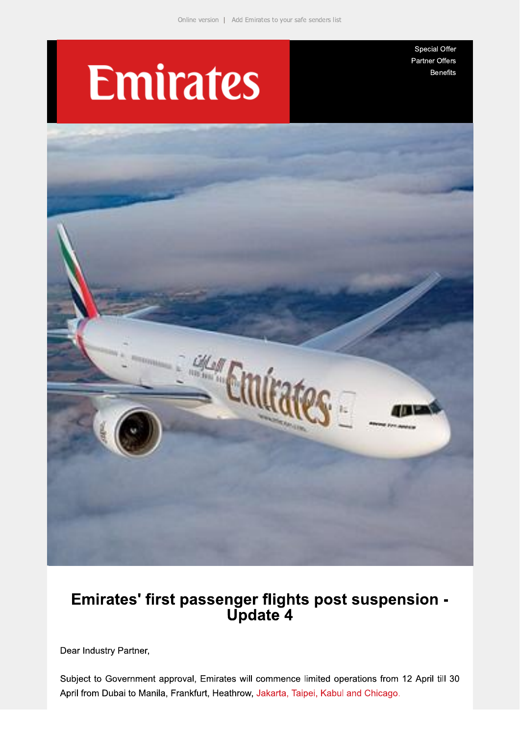# **Emirates**

Special Offer Partner Offers **Benefits** 



## Emirates' first passenger flights post suspension -<br>Update 4

Dear Industry Partner,

Subject to Government approval, Emirates will commence limited operations from 12 April till 30 April from Dubai to Manila, Frankfurt, Heathrow, Jakarta, Taipei, Kabul and Chicago.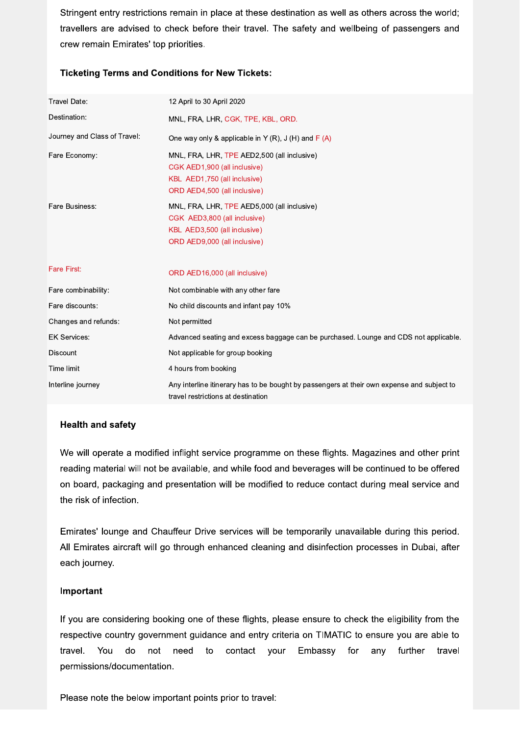Stringent entry restrictions remain in place at these destination as well as others across the world; travellers are advised to check before their travel. The safety and wellbeing of passengers and crew remain Emirates' top priorities.

### **Ticketing Terms and Conditions for New Tickets:**

| Travel Date:                 | 12 April to 30 April 2020                                                                                                                   |
|------------------------------|---------------------------------------------------------------------------------------------------------------------------------------------|
| Destination:                 | MNL, FRA, LHR, CGK, TPE, KBL, ORD.                                                                                                          |
| Journey and Class of Travel: | One way only & applicable in Y (R), J (H) and F (A)                                                                                         |
| Fare Economy:                | MNL, FRA, LHR, TPE AED2,500 (all inclusive)<br>CGK AED1,900 (all inclusive)<br>KBL AED1,750 (all inclusive)<br>ORD AED4,500 (all inclusive) |
| Fare Business:               | MNL, FRA, LHR, TPE AED5,000 (all inclusive)<br>CGK AED3,800 (all inclusive)<br>KBL AED3,500 (all inclusive)<br>ORD AED9,000 (all inclusive) |
| <b>Fare First:</b>           | ORD AED16,000 (all inclusive)                                                                                                               |
| Fare combinability:          | Not combinable with any other fare                                                                                                          |
| Fare discounts:              | No child discounts and infant pay 10%                                                                                                       |
| Changes and refunds:         | Not permitted                                                                                                                               |
| <b>EK Services:</b>          | Advanced seating and excess baggage can be purchased. Lounge and CDS not applicable.                                                        |
| Discount                     | Not applicable for group booking                                                                                                            |
| Time limit                   | 4 hours from booking                                                                                                                        |
| Interline journey            | Any interline itinerary has to be bought by passengers at their own expense and subject to<br>travel restrictions at destination            |

#### **Health and safety**

We will operate a modified inflight service programme on these flights. Magazines and other print reading material will not be available, and while food and beverages will be continued to be offered on board, packaging and presentation will be modified to reduce contact during meal service and the risk of infection.

Emirates' lounge and Chauffeur Drive services will be temporarily unavailable during this period. All Emirates aircraft will go through enhanced cleaning and disinfection processes in Dubai, after each journey.

#### Important

If you are considering booking one of these flights, please ensure to check the eligibility from the respective country government guidance and entry criteria on TIMATIC to ensure you are able to travel. You do not need to contact your Embassy for any further travel permissions/documentation.

Please note the below important points prior to travel: